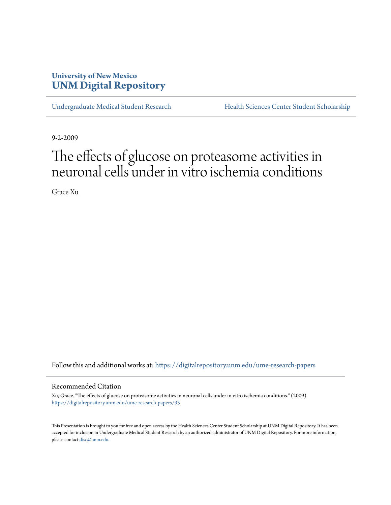## **University of New Mexico [UNM Digital Repository](https://digitalrepository.unm.edu?utm_source=digitalrepository.unm.edu%2Fume-research-papers%2F93&utm_medium=PDF&utm_campaign=PDFCoverPages)**

[Undergraduate Medical Student Research](https://digitalrepository.unm.edu/ume-research-papers?utm_source=digitalrepository.unm.edu%2Fume-research-papers%2F93&utm_medium=PDF&utm_campaign=PDFCoverPages) [Health Sciences Center Student Scholarship](https://digitalrepository.unm.edu/hsc-students?utm_source=digitalrepository.unm.edu%2Fume-research-papers%2F93&utm_medium=PDF&utm_campaign=PDFCoverPages)

9-2-2009

# The effects of glucose on proteasome activities in neuronal cells under in vitro ischemia conditions

Grace Xu

Follow this and additional works at: [https://digitalrepository.unm.edu/ume-research-papers](https://digitalrepository.unm.edu/ume-research-papers?utm_source=digitalrepository.unm.edu%2Fume-research-papers%2F93&utm_medium=PDF&utm_campaign=PDFCoverPages)

#### Recommended Citation

Xu, Grace. "The effects of glucose on proteasome activities in neuronal cells under in vitro ischemia conditions." (2009). [https://digitalrepository.unm.edu/ume-research-papers/93](https://digitalrepository.unm.edu/ume-research-papers/93?utm_source=digitalrepository.unm.edu%2Fume-research-papers%2F93&utm_medium=PDF&utm_campaign=PDFCoverPages)

This Presentation is brought to you for free and open access by the Health Sciences Center Student Scholarship at UNM Digital Repository. It has been accepted for inclusion in Undergraduate Medical Student Research by an authorized administrator of UNM Digital Repository. For more information, please contact [disc@unm.edu.](mailto:disc@unm.edu)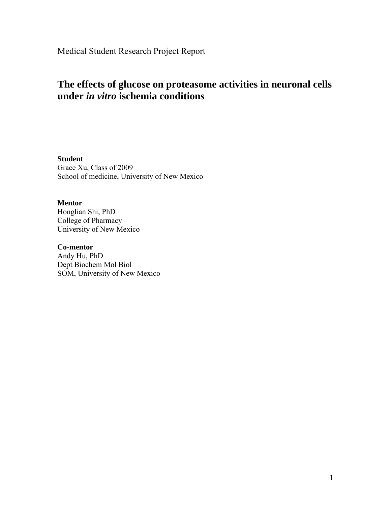Medical Student Research Project Report

## **The effects of glucose on proteasome activities in neuronal cells under** *in vitro* **ischemia conditions**

**Student**  Grace Xu, Class of 2009 School of medicine, University of New Mexico

#### **Mentor**

Honglian Shi, PhD College of Pharmacy University of New Mexico

### **Co-mentor**

Andy Hu, PhD Dept Biochem Mol Biol SOM, University of New Mexico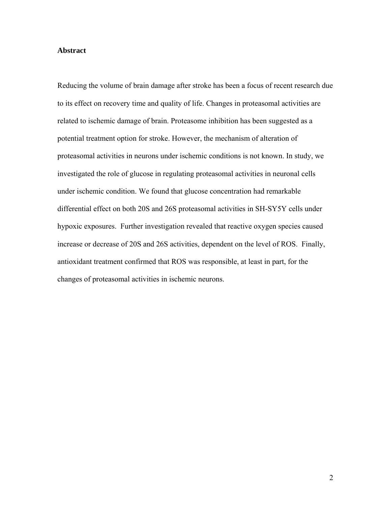#### **Abstract**

Reducing the volume of brain damage after stroke has been a focus of recent research due to its effect on recovery time and quality of life. Changes in proteasomal activities are related to ischemic damage of brain. Proteasome inhibition has been suggested as a potential treatment option for stroke. However, the mechanism of alteration of proteasomal activities in neurons under ischemic conditions is not known. In study, we investigated the role of glucose in regulating proteasomal activities in neuronal cells under ischemic condition. We found that glucose concentration had remarkable differential effect on both 20S and 26S proteasomal activities in SH-SY5Y cells under hypoxic exposures. Further investigation revealed that reactive oxygen species caused increase or decrease of 20S and 26S activities, dependent on the level of ROS. Finally, antioxidant treatment confirmed that ROS was responsible, at least in part, for the changes of proteasomal activities in ischemic neurons.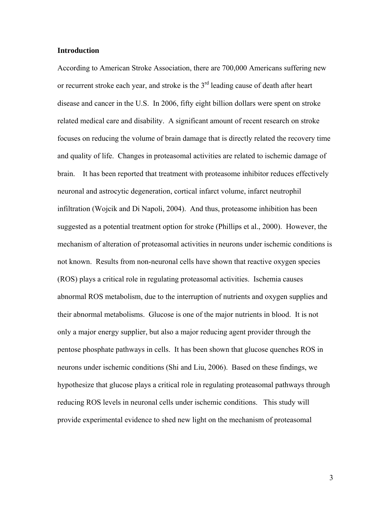#### **Introduction**

According to American Stroke Association, there are 700,000 Americans suffering new or recurrent stroke each year, and stroke is the  $3<sup>rd</sup>$  leading cause of death after heart disease and cancer in the U.S. In 2006, fifty eight billion dollars were spent on stroke related medical care and disability. A significant amount of recent research on stroke focuses on reducing the volume of brain damage that is directly related the recovery time and quality of life. Changes in proteasomal activities are related to ischemic damage of brain. It has been reported that treatment with proteasome inhibitor reduces effectively neuronal and astrocytic degeneration, cortical infarct volume, infarct neutrophil infiltration (Wojcik and Di Napoli, 2004). And thus, proteasome inhibition has been suggested as a potential treatment option for stroke (Phillips et al., 2000). However, the mechanism of alteration of proteasomal activities in neurons under ischemic conditions is not known. Results from non-neuronal cells have shown that reactive oxygen species (ROS) plays a critical role in regulating proteasomal activities. Ischemia causes abnormal ROS metabolism, due to the interruption of nutrients and oxygen supplies and their abnormal metabolisms. Glucose is one of the major nutrients in blood. It is not only a major energy supplier, but also a major reducing agent provider through the pentose phosphate pathways in cells. It has been shown that glucose quenches ROS in neurons under ischemic conditions (Shi and Liu, 2006). Based on these findings, we hypothesize that glucose plays a critical role in regulating proteasomal pathways through reducing ROS levels in neuronal cells under ischemic conditions. This study will provide experimental evidence to shed new light on the mechanism of proteasomal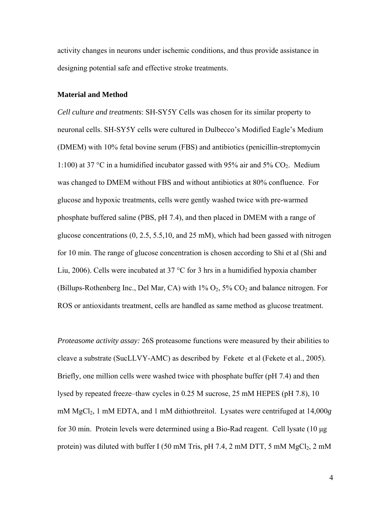activity changes in neurons under ischemic conditions, and thus provide assistance in designing potential safe and effective stroke treatments.

#### **Material and Method**

*Cell culture and treatments*: SH-SY5Y Cells was chosen for its similar property to neuronal cells. SH-SY5Y cells were cultured in Dulbecco's Modified Eagle's Medium (DMEM) with 10% fetal bovine serum (FBS) and antibiotics (penicillin-streptomycin 1:100) at 37 °C in a humidified incubator gassed with 95% air and 5%  $CO<sub>2</sub>$ . Medium was changed to DMEM without FBS and without antibiotics at 80% confluence. For glucose and hypoxic treatments, cells were gently washed twice with pre-warmed phosphate buffered saline (PBS, pH 7.4), and then placed in DMEM with a range of glucose concentrations  $(0, 2.5, 5.5, 10, \text{ and } 25 \text{ mM})$ , which had been gassed with nitrogen for 10 min. The range of glucose concentration is chosen according to Shi et al (Shi and Liu, 2006). Cells were incubated at 37 °C for 3 hrs in a humidified hypoxia chamber (Billups-Rothenberg Inc., Del Mar, CA) with  $1\%$  O<sub>2</sub>,  $5\%$  CO<sub>2</sub> and balance nitrogen. For ROS or antioxidants treatment, cells are handled as same method as glucose treatment.

*Proteasome activity assay:* 26S proteasome functions were measured by their abilities to cleave a substrate (SucLLVY-AMC) as described by Fekete et al (Fekete et al., 2005). Briefly, one million cells were washed twice with phosphate buffer (pH 7.4) and then lysed by repeated freeze–thaw cycles in 0.25 M sucrose, 25 mM HEPES (pH 7.8), 10 mM MgCl2, 1 mM EDTA, and 1 mM dithiothreitol. Lysates were centrifuged at 14,000*g*  for 30 min. Protein levels were determined using a Bio-Rad reagent. Cell lysate (10 μg protein) was diluted with buffer I (50 mM Tris, pH 7.4, 2 mM DTT, 5 mM  $MgCl<sub>2</sub>$ , 2 mM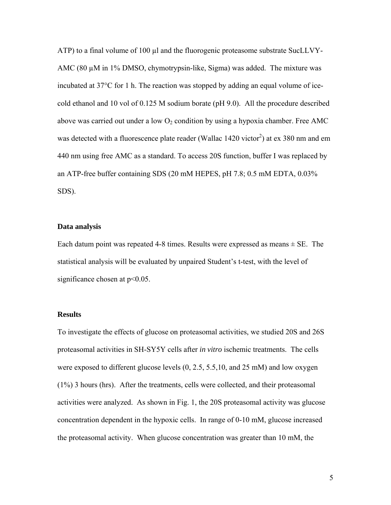ATP) to a final volume of  $100 \mu l$  and the fluorogenic proteasome substrate SucLLVY-AMC (80 µM in 1% DMSO, chymotrypsin-like, Sigma) was added. The mixture was incubated at 37°C for 1 h. The reaction was stopped by adding an equal volume of icecold ethanol and 10 vol of 0.125 M sodium borate (pH 9.0). All the procedure described above was carried out under a low  $O_2$  condition by using a hypoxia chamber. Free AMC was detected with a fluorescence plate reader (Wallac  $1420$  victor<sup>2</sup>) at ex 380 nm and em 440 nm using free AMC as a standard. To access 20S function, buffer I was replaced by an ATP-free buffer containing SDS (20 mM HEPES, pH 7.8; 0.5 mM EDTA, 0.03% SDS).

#### **Data analysis**

Each datum point was repeated 4-8 times. Results were expressed as means  $\pm$  SE. The statistical analysis will be evaluated by unpaired Student's t-test, with the level of significance chosen at  $p<0.05$ .

#### **Results**

To investigate the effects of glucose on proteasomal activities, we studied 20S and 26S proteasomal activities in SH-SY5Y cells after *in vitro* ischemic treatments. The cells were exposed to different glucose levels (0, 2.5, 5.5,10, and 25 mM) and low oxygen (1%) 3 hours (hrs). After the treatments, cells were collected, and their proteasomal activities were analyzed. As shown in Fig. 1, the 20S proteasomal activity was glucose concentration dependent in the hypoxic cells. In range of 0-10 mM, glucose increased the proteasomal activity. When glucose concentration was greater than 10 mM, the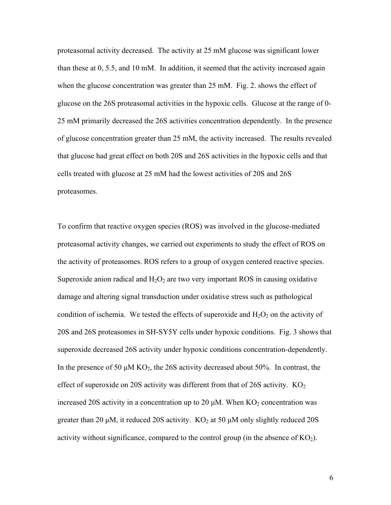proteasomal activity decreased. The activity at 25 mM glucose was significant lower than these at 0, 5.5, and 10 mM. In addition, it seemed that the activity increased again when the glucose concentration was greater than 25 mM. Fig. 2. shows the effect of glucose on the 26S proteasomal activities in the hypoxic cells. Glucose at the range of 0- 25 mM primarily decreased the 26S activities concentration dependently. In the presence of glucose concentration greater than 25 mM, the activity increased. The results revealed that glucose had great effect on both 20S and 26S activities in the hypoxic cells and that cells treated with glucose at 25 mM had the lowest activities of 20S and 26S proteasomes.

To confirm that reactive oxygen species (ROS) was involved in the glucose-mediated proteasomal activity changes, we carried out experiments to study the effect of ROS on the activity of proteasomes. ROS refers to a group of oxygen centered reactive species. Superoxide anion radical and  $H_2O_2$  are two very important ROS in causing oxidative damage and altering signal transduction under oxidative stress such as pathological condition of ischemia. We tested the effects of superoxide and  $H_2O_2$  on the activity of 20S and 26S proteasomes in SH-SY5Y cells under hypoxic conditions. Fig. 3 shows that superoxide decreased 26S activity under hypoxic conditions concentration-dependently. In the presence of 50  $\mu$ M KO<sub>2</sub>, the 26S activity decreased about 50%. In contrast, the effect of superoxide on 20S activity was different from that of 26S activity.  $KO<sub>2</sub>$ increased 20S activity in a concentration up to 20  $\mu$ M. When KO<sub>2</sub> concentration was greater than 20 μM, it reduced 20S activity.  $KO<sub>2</sub>$  at 50 μM only slightly reduced 20S activity without significance, compared to the control group (in the absence of  $KO<sub>2</sub>$ ).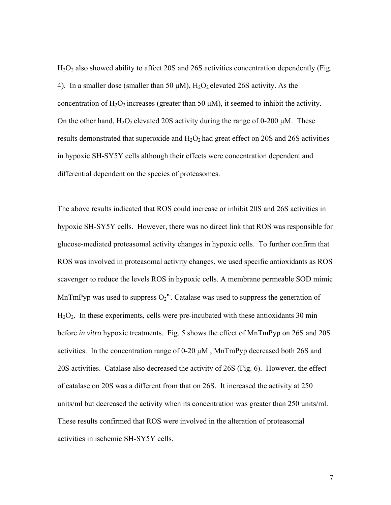$H<sub>2</sub>O<sub>2</sub>$  also showed ability to affect 20S and 26S activities concentration dependently (Fig. 4). In a smaller dose (smaller than 50  $\mu$ M),  $H_2O_2$  elevated 26S activity. As the concentration of  $H_2O_2$  increases (greater than 50  $\mu$ M), it seemed to inhibit the activity. On the other hand,  $H_2O_2$  elevated 20S activity during the range of 0-200  $\mu$ M. These results demonstrated that superoxide and  $H_2O_2$  had great effect on 20S and 26S activities in hypoxic SH-SY5Y cells although their effects were concentration dependent and differential dependent on the species of proteasomes.

The above results indicated that ROS could increase or inhibit 20S and 26S activities in hypoxic SH-SY5Y cells. However, there was no direct link that ROS was responsible for glucose-mediated proteasomal activity changes in hypoxic cells. To further confirm that ROS was involved in proteasomal activity changes, we used specific antioxidants as ROS scavenger to reduce the levels ROS in hypoxic cells. A membrane permeable SOD mimic MnTmPyp was used to suppress  $O_2^{\bullet}$ . Catalase was used to suppress the generation of H2O2. In these experiments, cells were pre-incubated with these antioxidants 30 min before *in vitro* hypoxic treatments. Fig. 5 shows the effect of MnTmPyp on 26S and 20S activities. In the concentration range of 0-20 μM , MnTmPyp decreased both 26S and 20S activities. Catalase also decreased the activity of 26S (Fig. 6). However, the effect of catalase on 20S was a different from that on 26S. It increased the activity at 250 units/ml but decreased the activity when its concentration was greater than 250 units/ml. These results confirmed that ROS were involved in the alteration of proteasomal activities in ischemic SH-SY5Y cells.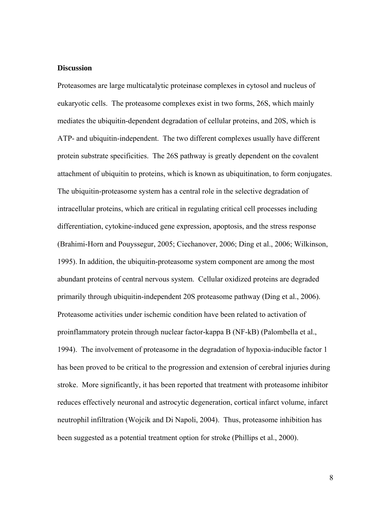#### **Discussion**

Proteasomes are large multicatalytic proteinase complexes in cytosol and nucleus of eukaryotic cells. The proteasome complexes exist in two forms, 26S, which mainly mediates the ubiquitin-dependent degradation of cellular proteins, and 20S, which is ATP- and ubiquitin-independent. The two different complexes usually have different protein substrate specificities. The 26S pathway is greatly dependent on the covalent attachment of ubiquitin to proteins, which is known as ubiquitination, to form conjugates. The ubiquitin-proteasome system has a central role in the selective degradation of intracellular proteins, which are critical in regulating critical cell processes including differentiation, cytokine-induced gene expression, apoptosis, and the stress response (Brahimi-Horn and Pouyssegur, 2005; Ciechanover, 2006; Ding et al., 2006; Wilkinson, 1995). In addition, the ubiquitin-proteasome system component are among the most abundant proteins of central nervous system. Cellular oxidized proteins are degraded primarily through ubiquitin-independent 20S proteasome pathway (Ding et al., 2006). Proteasome activities under ischemic condition have been related to activation of proinflammatory protein through nuclear factor-kappa B (NF-kB) (Palombella et al., 1994). The involvement of proteasome in the degradation of hypoxia-inducible factor 1 has been proved to be critical to the progression and extension of cerebral injuries during stroke. More significantly, it has been reported that treatment with proteasome inhibitor reduces effectively neuronal and astrocytic degeneration, cortical infarct volume, infarct neutrophil infiltration (Wojcik and Di Napoli, 2004). Thus, proteasome inhibition has been suggested as a potential treatment option for stroke (Phillips et al., 2000).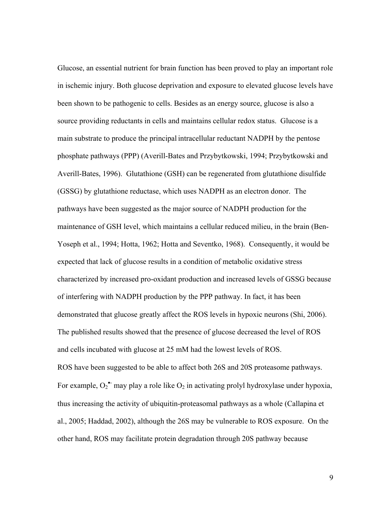Glucose, an essential nutrient for brain function has been proved to play an important role in ischemic injury. Both glucose deprivation and exposure to elevated glucose levels have been shown to be pathogenic to cells. Besides as an energy source, glucose is also a source providing reductants in cells and maintains cellular redox status. Glucose is a main substrate to produce the principal intracellular reductant NADPH by the pentose phosphate pathways (PPP) (Averill-Bates and Przybytkowski, 1994; Przybytkowski and Averill-Bates, 1996). Glutathione (GSH) can be regenerated from glutathione disulfide (GSSG) by glutathione reductase, which uses NADPH as an electron donor. The pathways have been suggested as the major source of NADPH production for the maintenance of GSH level, which maintains a cellular reduced milieu, in the brain (Ben-Yoseph et al., 1994; Hotta, 1962; Hotta and Seventko, 1968). Consequently, it would be expected that lack of glucose results in a condition of metabolic oxidative stress characterized by increased pro-oxidant production and increased levels of GSSG because of interfering with NADPH production by the PPP pathway. In fact, it has been demonstrated that glucose greatly affect the ROS levels in hypoxic neurons (Shi, 2006). The published results showed that the presence of glucose decreased the level of ROS and cells incubated with glucose at 25 mM had the lowest levels of ROS. ROS have been suggested to be able to affect both 26S and 20S proteasome pathways. For example,  $O_2^{\bullet}$  may play a role like  $O_2$  in activating prolyl hydroxylase under hypoxia, thus increasing the activity of ubiquitin-proteasomal pathways as a whole (Callapina et al., 2005; Haddad, 2002), although the 26S may be vulnerable to ROS exposure. On the

other hand, ROS may facilitate protein degradation through 20S pathway because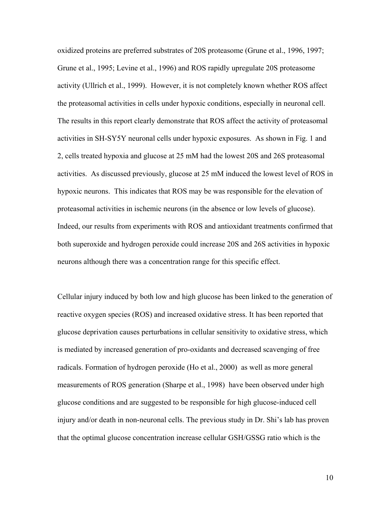oxidized proteins are preferred substrates of 20S proteasome (Grune et al., 1996, 1997; Grune et al., 1995; Levine et al., 1996) and ROS rapidly upregulate 20S proteasome activity (Ullrich et al., 1999). However, it is not completely known whether ROS affect the proteasomal activities in cells under hypoxic conditions, especially in neuronal cell. The results in this report clearly demonstrate that ROS affect the activity of proteasomal activities in SH-SY5Y neuronal cells under hypoxic exposures. As shown in Fig. 1 and 2, cells treated hypoxia and glucose at 25 mM had the lowest 20S and 26S proteasomal activities. As discussed previously, glucose at 25 mM induced the lowest level of ROS in hypoxic neurons. This indicates that ROS may be was responsible for the elevation of proteasomal activities in ischemic neurons (in the absence or low levels of glucose). Indeed, our results from experiments with ROS and antioxidant treatments confirmed that both superoxide and hydrogen peroxide could increase 20S and 26S activities in hypoxic neurons although there was a concentration range for this specific effect.

Cellular injury induced by both low and high glucose has been linked to the generation of reactive oxygen species (ROS) and increased oxidative stress. It has been reported that glucose deprivation causes perturbations in cellular sensitivity to oxidative stress, which is mediated by increased generation of pro-oxidants and decreased scavenging of free radicals. Formation of hydrogen peroxide (Ho et al., 2000) as well as more general measurements of ROS generation (Sharpe et al., 1998) have been observed under high glucose conditions and are suggested to be responsible for high glucose-induced cell injury and/or death in non-neuronal cells. The previous study in Dr. Shi's lab has proven that the optimal glucose concentration increase cellular GSH/GSSG ratio which is the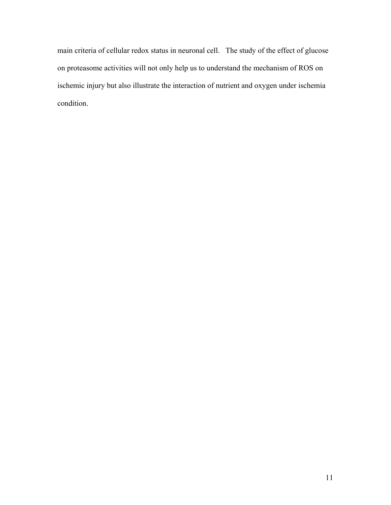main criteria of cellular redox status in neuronal cell. The study of the effect of glucose on proteasome activities will not only help us to understand the mechanism of ROS on ischemic injury but also illustrate the interaction of nutrient and oxygen under ischemia condition.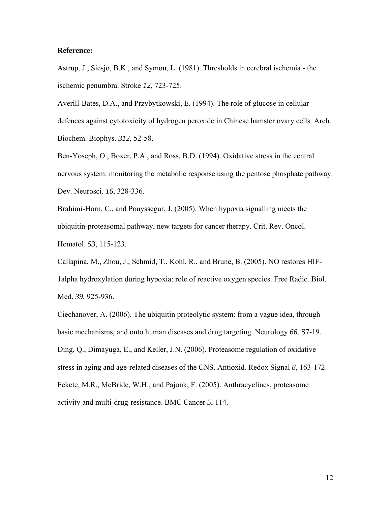#### **Reference:**

Astrup, J., Siesjo, B.K., and Symon, L. (1981). Thresholds in cerebral ischemia - the ischemic penumbra. Stroke *12*, 723-725.

Averill-Bates, D.A., and Przybytkowski, E. (1994). The role of glucose in cellular defences against cytotoxicity of hydrogen peroxide in Chinese hamster ovary cells. Arch. Biochem. Biophys. *312*, 52-58.

Ben-Yoseph, O., Boxer, P.A., and Ross, B.D. (1994). Oxidative stress in the central nervous system: monitoring the metabolic response using the pentose phosphate pathway. Dev. Neurosci. *16*, 328-336.

Brahimi-Horn, C., and Pouyssegur, J. (2005). When hypoxia signalling meets the ubiquitin-proteasomal pathway, new targets for cancer therapy. Crit. Rev. Oncol. Hematol. *53*, 115-123.

Callapina, M., Zhou, J., Schmid, T., Kohl, R., and Brune, B. (2005). NO restores HIF-1alpha hydroxylation during hypoxia: role of reactive oxygen species. Free Radic. Biol. Med. *39*, 925-936.

Ciechanover, A. (2006). The ubiquitin proteolytic system: from a vague idea, through basic mechanisms, and onto human diseases and drug targeting. Neurology *66*, S7-19. Ding, Q., Dimayuga, E., and Keller, J.N. (2006). Proteasome regulation of oxidative stress in aging and age-related diseases of the CNS. Antioxid. Redox Signal *8*, 163-172. Fekete, M.R., McBride, W.H., and Pajonk, F. (2005). Anthracyclines, proteasome activity and multi-drug-resistance. BMC Cancer *5*, 114.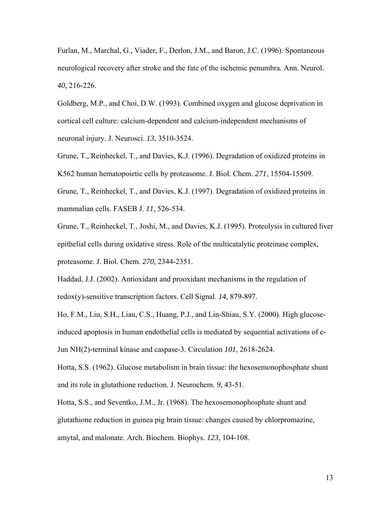Furlan, M., Marchal, G., Viader, F., Derlon, J.M., and Baron, J.C. (1996). Spontaneous neurological recovery after stroke and the fate of the ischemic penumbra. Ann. Neurol. *40*, 216-226.

Goldberg, M.P., and Choi, D.W. (1993). Combined oxygen and glucose deprivation in cortical cell culture: calcium-dependent and calcium-independent mechanisms of neuronal injury. J. Neurosci. *13*, 3510-3524.

Grune, T., Reinheckel, T., and Davies, K.J. (1996). Degradation of oxidized proteins in K562 human hematopoietic cells by proteasome. J. Biol. Chem. *271*, 15504-15509. Grune, T., Reinheckel, T., and Davies, K.J. (1997). Degradation of oxidized proteins in mammalian cells. FASEB J. *11*, 526-534.

Grune, T., Reinheckel, T., Joshi, M., and Davies, K.J. (1995). Proteolysis in cultured liver epithelial cells during oxidative stress. Role of the multicatalytic proteinase complex, proteasome. J. Biol. Chem. *270*, 2344-2351.

Haddad, J.J. (2002). Antioxidant and prooxidant mechanisms in the regulation of redox(y)-sensitive transcription factors. Cell Signal. *14*, 879-897.

Ho, F.M., Liu, S.H., Liau, C.S., Huang, P.J., and Lin-Shiau, S.Y. (2000). High glucoseinduced apoptosis in human endothelial cells is mediated by sequential activations of c-Jun NH(2)-terminal kinase and caspase-3. Circulation *101*, 2618-2624.

Hotta, S.S. (1962). Glucose metabolism in brain tissue: the hexosemonophosphate shunt and its role in glutathione reduction. J. Neurochem. *9*, 43-51.

Hotta, S.S., and Seventko, J.M., Jr. (1968). The hexosemonophosphate shunt and glutathione reduction in guinea pig brain tissue: changes caused by chlorpromazine, amytal, and malonate. Arch. Biochem. Biophys. *123*, 104-108.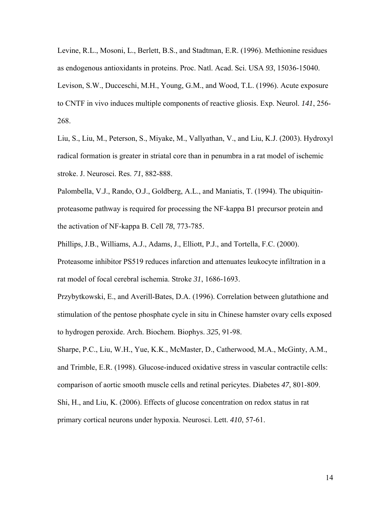Levine, R.L., Mosoni, L., Berlett, B.S., and Stadtman, E.R. (1996). Methionine residues as endogenous antioxidants in proteins. Proc. Natl. Acad. Sci. USA *93*, 15036-15040. Levison, S.W., Ducceschi, M.H., Young, G.M., and Wood, T.L. (1996). Acute exposure to CNTF in vivo induces multiple components of reactive gliosis. Exp. Neurol. *141*, 256- 268.

Liu, S., Liu, M., Peterson, S., Miyake, M., Vallyathan, V., and Liu, K.J. (2003). Hydroxyl radical formation is greater in striatal core than in penumbra in a rat model of ischemic stroke. J. Neurosci. Res. *71*, 882-888.

Palombella, V.J., Rando, O.J., Goldberg, A.L., and Maniatis, T. (1994). The ubiquitinproteasome pathway is required for processing the NF-kappa B1 precursor protein and the activation of NF-kappa B. Cell *78*, 773-785.

Phillips, J.B., Williams, A.J., Adams, J., Elliott, P.J., and Tortella, F.C. (2000). Proteasome inhibitor PS519 reduces infarction and attenuates leukocyte infiltration in a rat model of focal cerebral ischemia. Stroke *31*, 1686-1693.

Przybytkowski, E., and Averill-Bates, D.A. (1996). Correlation between glutathione and stimulation of the pentose phosphate cycle in situ in Chinese hamster ovary cells exposed to hydrogen peroxide. Arch. Biochem. Biophys. *325*, 91-98.

Sharpe, P.C., Liu, W.H., Yue, K.K., McMaster, D., Catherwood, M.A., McGinty, A.M., and Trimble, E.R. (1998). Glucose-induced oxidative stress in vascular contractile cells: comparison of aortic smooth muscle cells and retinal pericytes. Diabetes *47*, 801-809.

Shi, H., and Liu, K. (2006). Effects of glucose concentration on redox status in rat primary cortical neurons under hypoxia. Neurosci. Lett. *410*, 57-61.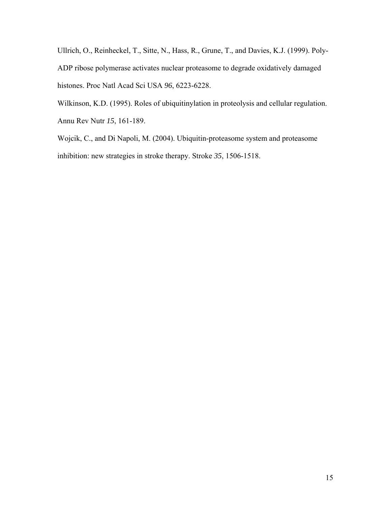Ullrich, O., Reinheckel, T., Sitte, N., Hass, R., Grune, T., and Davies, K.J. (1999). Poly-ADP ribose polymerase activates nuclear proteasome to degrade oxidatively damaged histones. Proc Natl Acad Sci USA *96*, 6223-6228.

Wilkinson, K.D. (1995). Roles of ubiquitinylation in proteolysis and cellular regulation. Annu Rev Nutr *15*, 161-189.

Wojcik, C., and Di Napoli, M. (2004). Ubiquitin-proteasome system and proteasome inhibition: new strategies in stroke therapy. Stroke *35*, 1506-1518.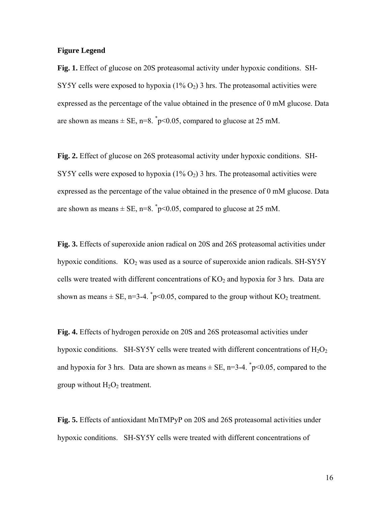#### **Figure Legend**

**Fig. 1.** Effect of glucose on 20S proteasomal activity under hypoxic conditions. SH-SY5Y cells were exposed to hypoxia  $(1\% O_2)$  3 hrs. The proteasomal activities were expressed as the percentage of the value obtained in the presence of 0 mM glucose. Data are shown as means  $\pm$  SE, n=8.  $\degree$ p<0.05, compared to glucose at 25 mM.

**Fig. 2.** Effect of glucose on 26S proteasomal activity under hypoxic conditions. SH-SY5Y cells were exposed to hypoxia  $(1\% O_2)$  3 hrs. The proteasomal activities were expressed as the percentage of the value obtained in the presence of 0 mM glucose. Data are shown as means  $\pm$  SE, n=8.  $\degree$ p<0.05, compared to glucose at 25 mM.

**Fig. 3.** Effects of superoxide anion radical on 20S and 26S proteasomal activities under hypoxic conditions.  $KO<sub>2</sub>$  was used as a source of superoxide anion radicals. SH-SY5Y cells were treated with different concentrations of  $KO<sub>2</sub>$  and hypoxia for 3 hrs. Data are shown as means  $\pm$  SE, n=3-4.  $\degree$ p<0.05, compared to the group without KO<sub>2</sub> treatment.

**Fig. 4.** Effects of hydrogen peroxide on 20S and 26S proteasomal activities under hypoxic conditions. SH-SY5Y cells were treated with different concentrations of  $H_2O_2$ and hypoxia for 3 hrs. Data are shown as means  $\pm$  SE, n=3-4.  $\degree$ p<0.05, compared to the group without  $H_2O_2$  treatment.

**Fig. 5.** Effects of antioxidant MnTMPyP on 20S and 26S proteasomal activities under hypoxic conditions. SH-SY5Y cells were treated with different concentrations of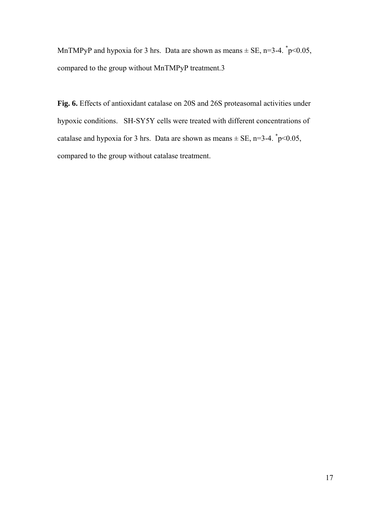MnTMPyP and hypoxia for 3 hrs. Data are shown as means  $\pm$  SE, n=3-4.  $\degree$ p<0.05, compared to the group without MnTMPyP treatment.3

**Fig. 6.** Effects of antioxidant catalase on 20S and 26S proteasomal activities under hypoxic conditions. SH-SY5Y cells were treated with different concentrations of catalase and hypoxia for 3 hrs. Data are shown as means  $\pm$  SE, n=3-4.  $\degree$ p<0.05, compared to the group without catalase treatment.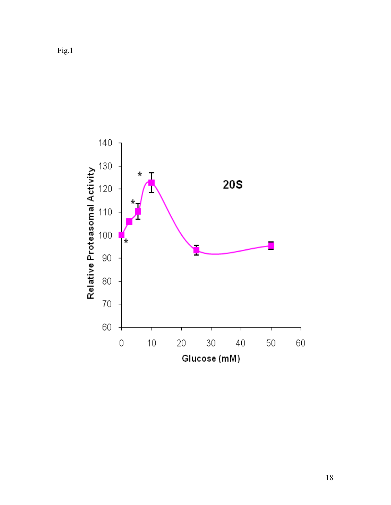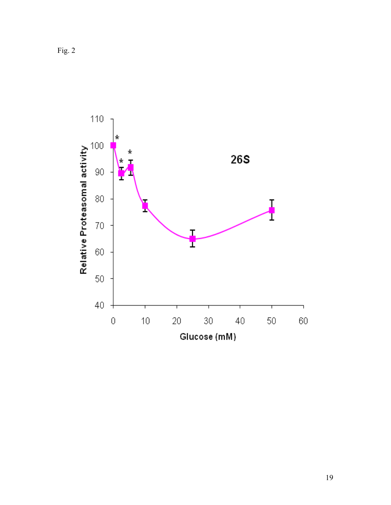Fig. 2

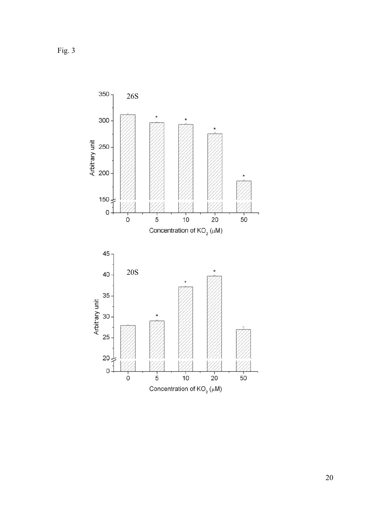Fig. 3

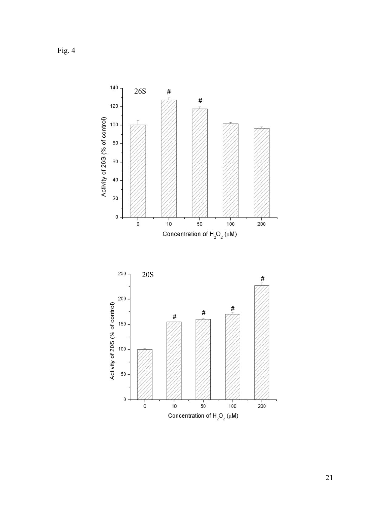Fig. 4



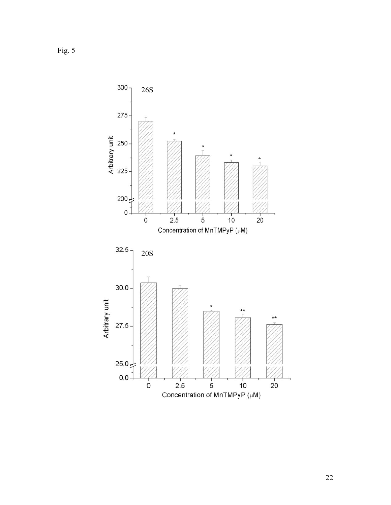Fig.